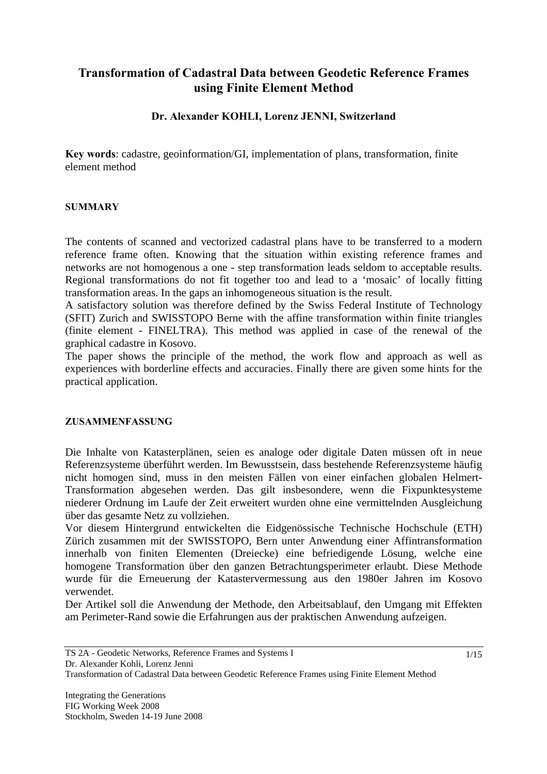# **Transformation of Cadastral Data between Geodetic Reference Frames using Finite Element Method**

### **Dr. Alexander KOHLI, Lorenz JENNI, Switzerland**

**Key words**: cadastre, geoinformation/GI, implementation of plans, transformation, finite element method

#### **SUMMARY**

The contents of scanned and vectorized cadastral plans have to be transferred to a modern reference frame often. Knowing that the situation within existing reference frames and networks are not homogenous a one - step transformation leads seldom to acceptable results. Regional transformations do not fit together too and lead to a 'mosaic' of locally fitting transformation areas. In the gaps an inhomogeneous situation is the result.

A satisfactory solution was therefore defined by the Swiss Federal Institute of Technology (SFIT) Zurich and SWISSTOPO Berne with the affine transformation within finite triangles (finite element - FINELTRA). This method was applied in case of the renewal of the graphical cadastre in Kosovo.

The paper shows the principle of the method, the work flow and approach as well as experiences with borderline effects and accuracies. Finally there are given some hints for the practical application.

#### **ZUSAMMENFASSUNG**

Die Inhalte von Katasterplänen, seien es analoge oder digitale Daten müssen oft in neue Referenzsysteme überführt werden. Im Bewusstsein, dass bestehende Referenzsysteme häufig nicht homogen sind, muss in den meisten Fällen von einer einfachen globalen Helmert-Transformation abgesehen werden. Das gilt insbesondere, wenn die Fixpunktesysteme niederer Ordnung im Laufe der Zeit erweitert wurden ohne eine vermittelnden Ausgleichung über das gesamte Netz zu vollziehen.

Vor diesem Hintergrund entwickelten die Eidgenössische Technische Hochschule (ETH) Zürich zusammen mit der SWISSTOPO, Bern unter Anwendung einer Affintransformation innerhalb von finiten Elementen (Dreiecke) eine befriedigende Lösung, welche eine homogene Transformation über den ganzen Betrachtungsperimeter erlaubt. Diese Methode wurde für die Erneuerung der Katastervermessung aus den 1980er Jahren im Kosovo verwendet.

Der Artikel soll die Anwendung der Methode, den Arbeitsablauf, den Umgang mit Effekten am Perimeter-Rand sowie die Erfahrungen aus der praktischen Anwendung aufzeigen.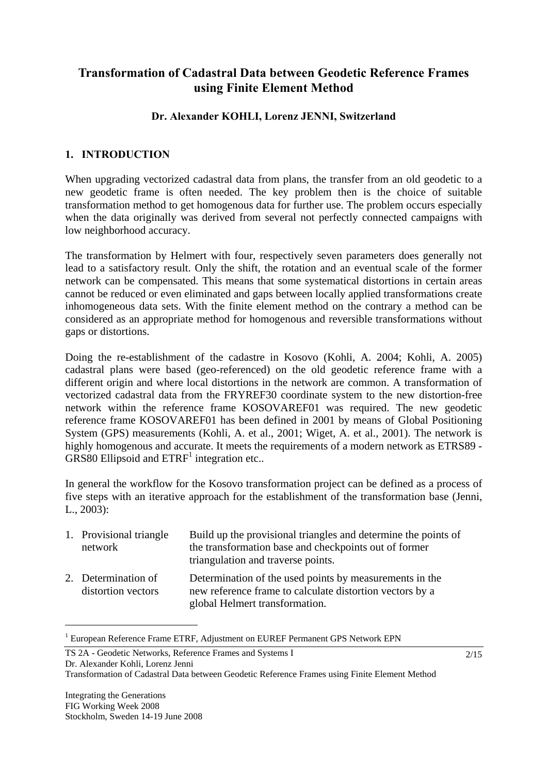# **Transformation of Cadastral Data between Geodetic Reference Frames using Finite Element Method**

### **Dr. Alexander KOHLI, Lorenz JENNI, Switzerland**

### **1. INTRODUCTION**

When upgrading vectorized cadastral data from plans, the transfer from an old geodetic to a new geodetic frame is often needed. The key problem then is the choice of suitable transformation method to get homogenous data for further use. The problem occurs especially when the data originally was derived from several not perfectly connected campaigns with low neighborhood accuracy.

The transformation by Helmert with four, respectively seven parameters does generally not lead to a satisfactory result. Only the shift, the rotation and an eventual scale of the former network can be compensated. This means that some systematical distortions in certain areas cannot be reduced or even eliminated and gaps between locally applied transformations create inhomogeneous data sets. With the finite element method on the contrary a method can be considered as an appropriate method for homogenous and reversible transformations without gaps or distortions.

Doing the re-establishment of the cadastre in Kosovo (Kohli, A. 2004; Kohli, A. 2005) cadastral plans were based (geo-referenced) on the old geodetic reference frame with a different origin and where local distortions in the network are common. A transformation of vectorized cadastral data from the FRYREF30 coordinate system to the new distortion-free network within the reference frame KOSOVAREF01 was required. The new geodetic reference frame KOSOVAREF01 has been defined in 2001 by means of Global Positioning System (GPS) measurements (Kohli, A. et al., 2001; Wiget, A. et al., 2001). The network is highly homogenous and accurate. It meets the requirements of a modern network as ETRS89 -  $GRS80$  Ellipsoid and  $ETRF<sup>1</sup>$  integration etc..

In general the workflow for the Kosovo transformation project can be defined as a process of five steps with an iterative approach for the establishment of the transformation base (Jenni, L., 2003):

| 1. Provisional triangle<br>network        | Build up the provisional triangles and determine the points of<br>the transformation base and checkpoints out of former<br>triangulation and traverse points. |
|-------------------------------------------|---------------------------------------------------------------------------------------------------------------------------------------------------------------|
| 2. Determination of<br>distortion vectors | Determination of the used points by measurements in the<br>new reference frame to calculate distortion vectors by a<br>global Helmert transformation.         |

<sup>&</sup>lt;sup>1</sup> European Reference Frame ETRF, Adjustment on EUREF Permanent GPS Network EPN

 $\overline{a}$ 

TS 2A - Geodetic Networks, Reference Frames and Systems I Dr. Alexander Kohli, Lorenz Jenni

Transformation of Cadastral Data between Geodetic Reference Frames using Finite Element Method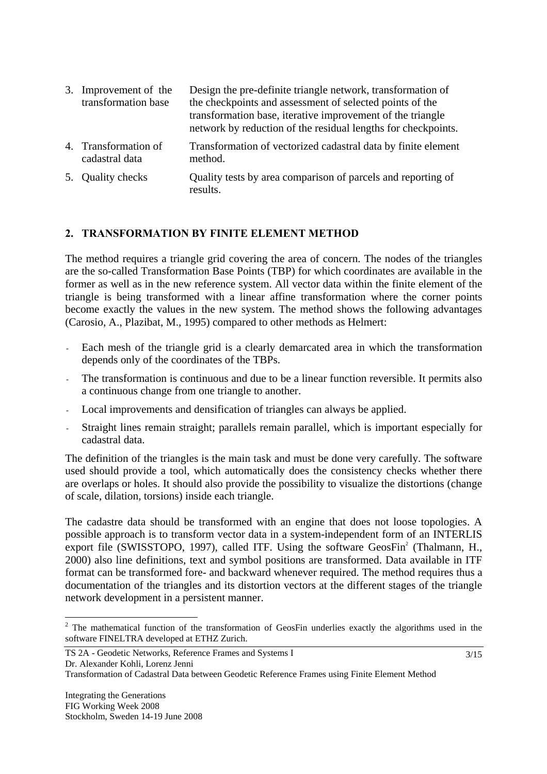| 3. Improvement of the<br>transformation base | Design the pre-definite triangle network, transformation of<br>the checkpoints and assessment of selected points of the<br>transformation base, iterative improvement of the triangle<br>network by reduction of the residual lengths for checkpoints. |
|----------------------------------------------|--------------------------------------------------------------------------------------------------------------------------------------------------------------------------------------------------------------------------------------------------------|
| 4. Transformation of<br>cadastral data       | Transformation of vectorized cadastral data by finite element<br>method.                                                                                                                                                                               |

5. Quality checks Quality tests by area comparison of parcels and reporting of results.

#### **2. TRANSFORMATION BY FINITE ELEMENT METHOD**

The method requires a triangle grid covering the area of concern. The nodes of the triangles are the so-called Transformation Base Points (TBP) for which coordinates are available in the former as well as in the new reference system. All vector data within the finite element of the triangle is being transformed with a linear affine transformation where the corner points become exactly the values in the new system. The method shows the following advantages (Carosio, A., Plazibat, M., 1995) compared to other methods as Helmert:

- Each mesh of the triangle grid is a clearly demarcated area in which the transformation depends only of the coordinates of the TBPs.
- The transformation is continuous and due to be a linear function reversible. It permits also a continuous change from one triangle to another.
- Local improvements and densification of triangles can always be applied.
- Straight lines remain straight; parallels remain parallel, which is important especially for cadastral data.

The definition of the triangles is the main task and must be done very carefully. The software used should provide a tool, which automatically does the consistency checks whether there are overlaps or holes. It should also provide the possibility to visualize the distortions (change of scale, dilation, torsions) inside each triangle.

The cadastre data should be transformed with an engine that does not loose topologies. A possible approach is to transform vector data in a system-independent form of an INTERLIS export file (SWISSTOPO, 1997), called ITF. Using the software  $GeosFin^2$  (Thalmann, H., 2000) also line definitions, text and symbol positions are transformed. Data available in ITF format can be transformed fore- and backward whenever required. The method requires thus a documentation of the triangles and its distortion vectors at the different stages of the triangle network development in a persistent manner.

 $\overline{a}$ 

 $2$  The mathematical function of the transformation of GeosFin underlies exactly the algorithms used in the software FINELTRA developed at ETHZ Zurich.

Transformation of Cadastral Data between Geodetic Reference Frames using Finite Element Method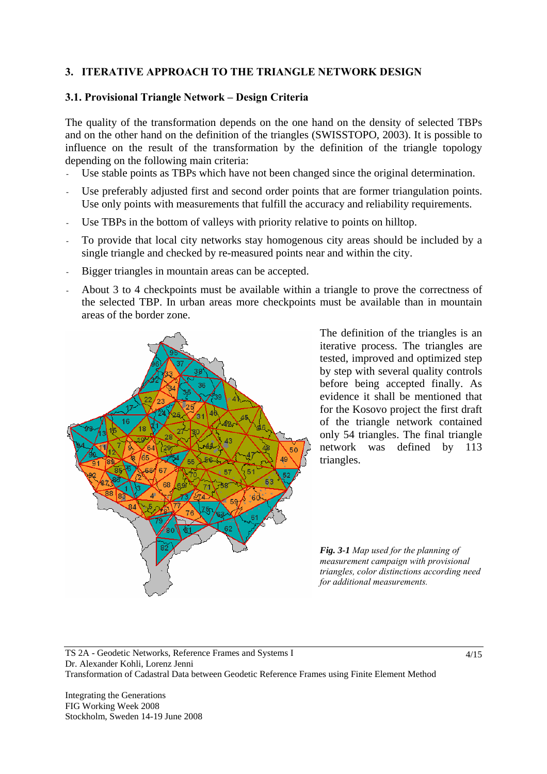### **3. ITERATIVE APPROACH TO THE TRIANGLE NETWORK DESIGN**

### **3.1. Provisional Triangle Network – Design Criteria**

The quality of the transformation depends on the one hand on the density of selected TBPs and on the other hand on the definition of the triangles (SWISSTOPO, 2003). It is possible to influence on the result of the transformation by the definition of the triangle topology depending on the following main criteria:

- Use stable points as TBPs which have not been changed since the original determination.
- Use preferably adjusted first and second order points that are former triangulation points. Use only points with measurements that fulfill the accuracy and reliability requirements.
- Use TBPs in the bottom of valleys with priority relative to points on hilltop.
- To provide that local city networks stay homogenous city areas should be included by a single triangle and checked by re-measured points near and within the city.
- Bigger triangles in mountain areas can be accepted.
- About 3 to 4 checkpoints must be available within a triangle to prove the correctness of the selected TBP. In urban areas more checkpoints must be available than in mountain areas of the border zone.



The definition of the triangles is an iterative process. The triangles are tested, improved and optimized step by step with several quality controls before being accepted finally. As evidence it shall be mentioned that for the Kosovo project the first draft of the triangle network contained only 54 triangles. The final triangle network was defined by 113 triangles.

*Fig. 3-1 Map used for the planning of measurement campaign with provisional triangles, color distinctions according need for additional measurements.* 

TS 2A - Geodetic Networks, Reference Frames and Systems I Dr. Alexander Kohli, Lorenz Jenni Transformation of Cadastral Data between Geodetic Reference Frames using Finite Element Method

Integrating the Generations FIG Working Week 2008 Stockholm, Sweden 14-19 June 2008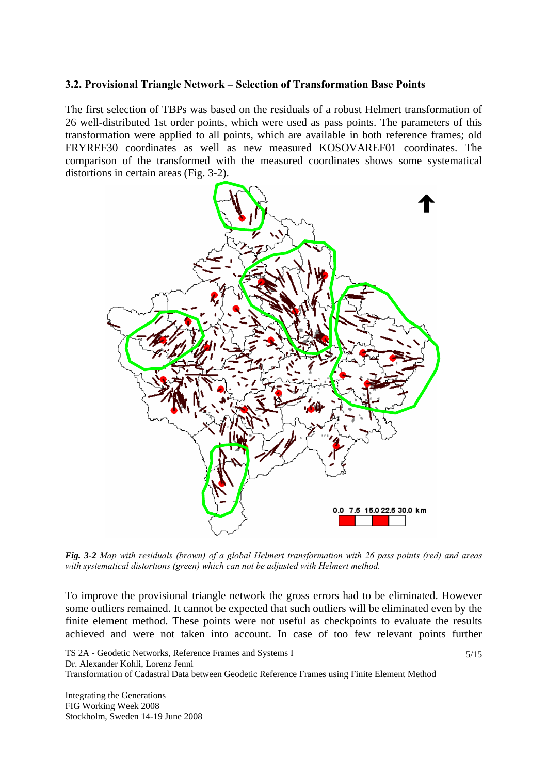#### **3.2. Provisional Triangle Network – Selection of Transformation Base Points**

The first selection of TBPs was based on the residuals of a robust Helmert transformation of 26 well-distributed 1st order points, which were used as pass points. The parameters of this transformation were applied to all points, which are available in both reference frames; old FRYREF30 coordinates as well as new measured KOSOVAREF01 coordinates. The comparison of the transformed with the measured coordinates shows some systematical distortions in certain areas (Fig. 3-2).



*Fig. 3-2 Map with residuals (brown) of a global Helmert transformation with 26 pass points (red) and areas with systematical distortions (green) which can not be adjusted with Helmert method.* 

To improve the provisional triangle network the gross errors had to be eliminated. However some outliers remained. It cannot be expected that such outliers will be eliminated even by the finite element method. These points were not useful as checkpoints to evaluate the results achieved and were not taken into account. In case of too few relevant points further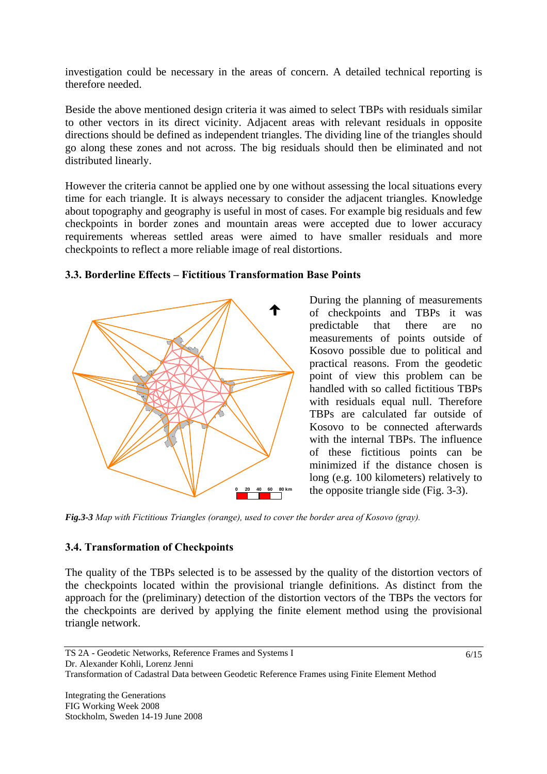investigation could be necessary in the areas of concern. A detailed technical reporting is therefore needed.

Beside the above mentioned design criteria it was aimed to select TBPs with residuals similar to other vectors in its direct vicinity. Adjacent areas with relevant residuals in opposite directions should be defined as independent triangles. The dividing line of the triangles should go along these zones and not across. The big residuals should then be eliminated and not distributed linearly.

However the criteria cannot be applied one by one without assessing the local situations every time for each triangle. It is always necessary to consider the adjacent triangles. Knowledge about topography and geography is useful in most of cases. For example big residuals and few checkpoints in border zones and mountain areas were accepted due to lower accuracy requirements whereas settled areas were aimed to have smaller residuals and more checkpoints to reflect a more reliable image of real distortions.



### **3.3. Borderline Effects – Fictitious Transformation Base Points**

During the planning of measurements of checkpoints and TBPs it was predictable that there are no measurements of points outside of Kosovo possible due to political and practical reasons. From the geodetic point of view this problem can be handled with so called fictitious TBPs with residuals equal null. Therefore TBPs are calculated far outside of Kosovo to be connected afterwards with the internal TBPs. The influence of these fictitious points can be minimized if the distance chosen is long (e.g. 100 kilometers) relatively to the opposite triangle side (Fig. 3-3).

*Fig.3-3 Map with Fictitious Triangles (orange), used to cover the border area of Kosovo (gray).* 

# **3.4. Transformation of Checkpoints**

The quality of the TBPs selected is to be assessed by the quality of the distortion vectors of the checkpoints located within the provisional triangle definitions. As distinct from the approach for the (preliminary) detection of the distortion vectors of the TBPs the vectors for the checkpoints are derived by applying the finite element method using the provisional triangle network.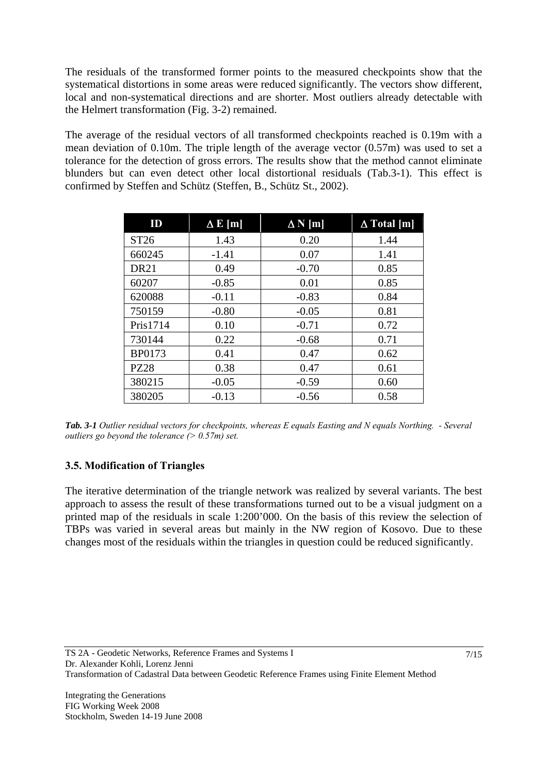The residuals of the transformed former points to the measured checkpoints show that the systematical distortions in some areas were reduced significantly. The vectors show different, local and non-systematical directions and are shorter. Most outliers already detectable with the Helmert transformation (Fig. 3-2) remained.

The average of the residual vectors of all transformed checkpoints reached is 0.19m with a mean deviation of 0.10m. The triple length of the average vector (0.57m) was used to set a tolerance for the detection of gross errors. The results show that the method cannot eliminate blunders but can even detect other local distortional residuals (Tab.3-1). This effect is confirmed by Steffen and Schütz (Steffen, B., Schütz St., 2002).

| ID            | $\Delta$ E [m] | $\Delta N$ [m] | $\Delta$ Total [m] |
|---------------|----------------|----------------|--------------------|
| ST26          | 1.43           | 0.20           | 1.44               |
| 660245        | $-1.41$        | 0.07           | 1.41               |
| <b>DR21</b>   | 0.49           | $-0.70$        | 0.85               |
| 60207         | $-0.85$        | 0.01           | 0.85               |
| 620088        | $-0.11$        | $-0.83$        | 0.84               |
| 750159        | $-0.80$        | $-0.05$        | 0.81               |
| Pris1714      | 0.10           | $-0.71$        | 0.72               |
| 730144        | 0.22           | $-0.68$        | 0.71               |
| <b>BP0173</b> | 0.41           | 0.47           | 0.62               |
| <b>PZ28</b>   | 0.38           | 0.47           | 0.61               |
| 380215        | $-0.05$        | $-0.59$        | 0.60               |
| 380205        | $-0.13$        | $-0.56$        | 0.58               |

*Tab. 3-1 Outlier residual vectors for checkpoints, whereas E equals Easting and N equals Northing. - Several outliers go beyond the tolerance (> 0.57m) set.* 

# **3.5. Modification of Triangles**

The iterative determination of the triangle network was realized by several variants. The best approach to assess the result of these transformations turned out to be a visual judgment on a printed map of the residuals in scale 1:200'000. On the basis of this review the selection of TBPs was varied in several areas but mainly in the NW region of Kosovo. Due to these changes most of the residuals within the triangles in question could be reduced significantly.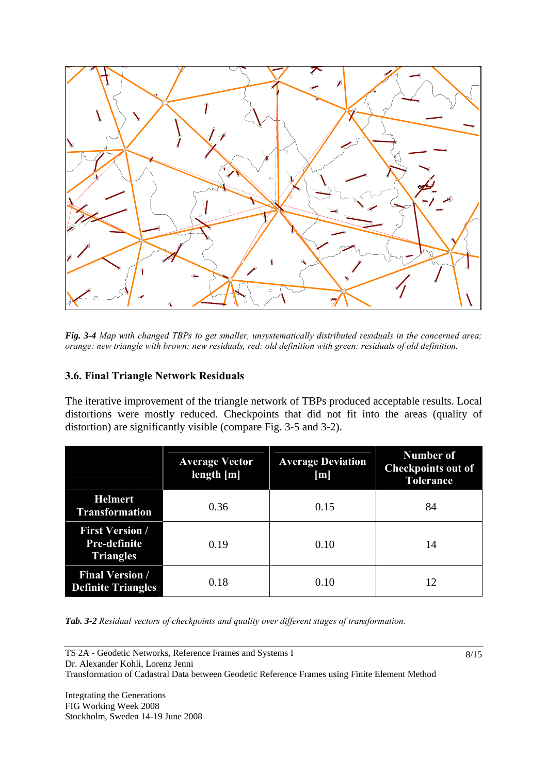

*Fig. 3-4 Map with changed TBPs to get smaller, unsystematically distributed residuals in the concerned area; orange: new triangle with brown: new residuals, red: old definition with green: residuals of old definition.* 

### **3.6. Final Triangle Network Residuals**

The iterative improvement of the triangle network of TBPs produced acceptable results. Local distortions were mostly reduced. Checkpoints that did not fit into the areas (quality of distortion) are significantly visible (compare Fig. 3-5 and 3-2).

|                                                            | <b>Average Vector</b><br>length $[m]$ | <b>Average Deviation</b><br>[m] | <b>Number of</b><br><b>Checkpoints out of</b><br><b>Tolerance</b> |  |
|------------------------------------------------------------|---------------------------------------|---------------------------------|-------------------------------------------------------------------|--|
| <b>Helmert</b><br><b>Transformation</b>                    | 0.36<br>0.15                          |                                 | 84                                                                |  |
| <b>First Version /</b><br>Pre-definite<br><b>Triangles</b> | 0.19                                  | 0.10                            | 14                                                                |  |
| <b>Final Version /</b><br><b>Definite Triangles</b>        | 0.18                                  | 0.10                            | 12                                                                |  |

*Tab. 3-2 Residual vectors of checkpoints and quality over different stages of transformation.*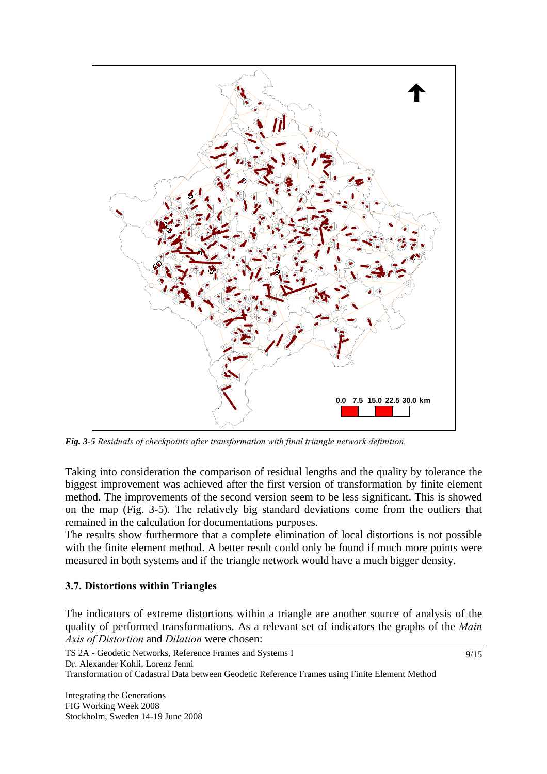

*Fig. 3-5 Residuals of checkpoints after transformation with final triangle network definition.* 

Taking into consideration the comparison of residual lengths and the quality by tolerance the biggest improvement was achieved after the first version of transformation by finite element method. The improvements of the second version seem to be less significant. This is showed on the map (Fig. 3-5). The relatively big standard deviations come from the outliers that remained in the calculation for documentations purposes.

The results show furthermore that a complete elimination of local distortions is not possible with the finite element method. A better result could only be found if much more points were measured in both systems and if the triangle network would have a much bigger density.

### **3.7. Distortions within Triangles**

The indicators of extreme distortions within a triangle are another source of analysis of the quality of performed transformations. As a relevant set of indicators the graphs of the *Main Axis of Distortion* and *Dilation* were chosen: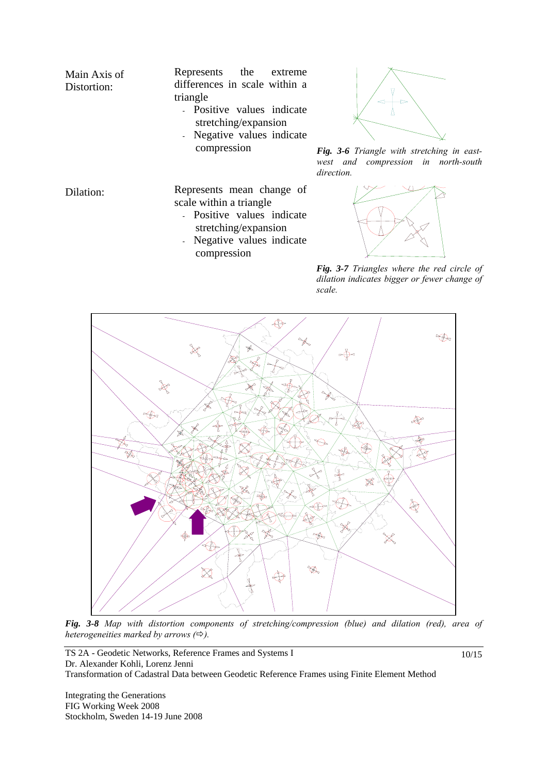Main Axis of Represents the extreme differences in scale within a triangle

Distortion:

- Positive values indicate stretching/expansion
- Negative values indicate



compression *Fig. 3-6 Triangle with stretching in eastwest and compression in north-south direction.* 

Dilation: Represents mean change of scale within a triangle

- Positive values indicate stretching/expansion
- Negative values indicate compression



*Fig. 3-7 Triangles where the red circle of dilation indicates bigger or fewer change of scale.*



*Fig. 3-8 Map with distortion components of stretching/compression (blue) and dilation (red), area of heterogeneities marked by arrows*  $(\Rightarrow)$ *.* 

TS 2A - Geodetic Networks, Reference Frames and Systems I Dr. Alexander Kohli, Lorenz Jenni Transformation of Cadastral Data between Geodetic Reference Frames using Finite Element Method

Integrating the Generations FIG Working Week 2008 Stockholm, Sweden 14-19 June 2008 10/15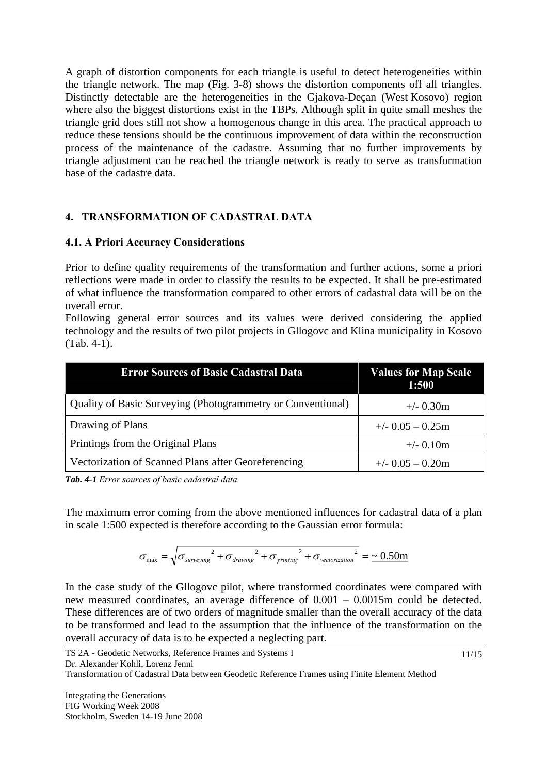A graph of distortion components for each triangle is useful to detect heterogeneities within the triangle network. The map (Fig. 3-8) shows the distortion components off all triangles. Distinctly detectable are the heterogeneities in the Gjakova-Deçan (West Kosovo) region where also the biggest distortions exist in the TBPs. Although split in quite small meshes the triangle grid does still not show a homogenous change in this area. The practical approach to reduce these tensions should be the continuous improvement of data within the reconstruction process of the maintenance of the cadastre. Assuming that no further improvements by triangle adjustment can be reached the triangle network is ready to serve as transformation base of the cadastre data.

# **4. TRANSFORMATION OF CADASTRAL DATA**

### **4.1. A Priori Accuracy Considerations**

Prior to define quality requirements of the transformation and further actions, some a priori reflections were made in order to classify the results to be expected. It shall be pre-estimated of what influence the transformation compared to other errors of cadastral data will be on the overall error.

Following general error sources and its values were derived considering the applied technology and the results of two pilot projects in Gllogovc and Klina municipality in Kosovo (Tab. 4-1).

| <b>Error Sources of Basic Cadastral Data</b>                       | <b>Values for Map Scale</b><br>1:500 |
|--------------------------------------------------------------------|--------------------------------------|
| <b>Quality of Basic Surveying (Photogrammetry or Conventional)</b> | $+/- 0.30$ m                         |
| Drawing of Plans                                                   | $+/-$ 0.05 $-$ 0.25m                 |
| Printings from the Original Plans                                  | $+/- 0.10m$                          |
| Vectorization of Scanned Plans after Georeferencing                | $+/-$ 0.05 $-$ 0.20m                 |

*Tab. 4-1 Error sources of basic cadastral data.* 

The maximum error coming from the above mentioned influences for cadastral data of a plan in scale 1:500 expected is therefore according to the Gaussian error formula:

$$
\sigma_{\text{max}} = \sqrt{\sigma_{\text{surveysing}}^2 + \sigma_{\text{drawing}}^2 + \sigma_{\text{printing}}^2 + \sigma_{\text{vectorization}}^2} = \frac{0.50 \text{m}}{1.50 \text{m}}
$$

In the case study of the Gllogovc pilot, where transformed coordinates were compared with new measured coordinates, an average difference of 0.001 – 0.0015m could be detected. These differences are of two orders of magnitude smaller than the overall accuracy of the data to be transformed and lead to the assumption that the influence of the transformation on the overall accuracy of data is to be expected a neglecting part.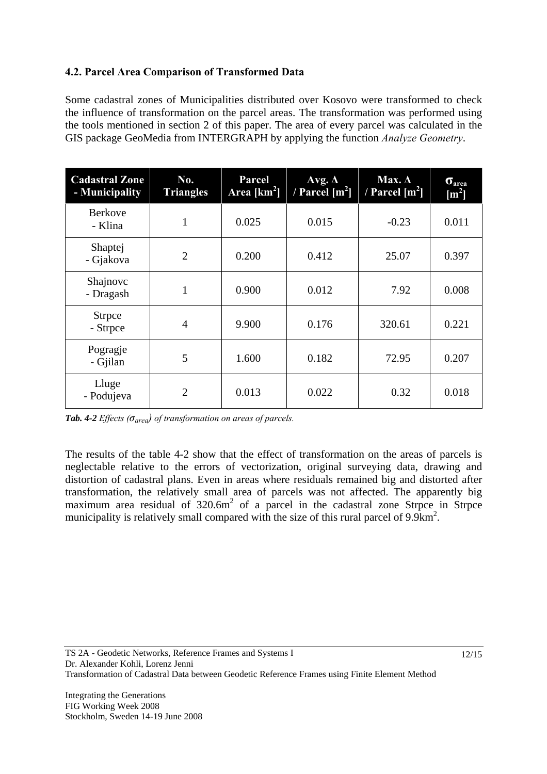# **4.2. Parcel Area Comparison of Transformed Data**

Some cadastral zones of Municipalities distributed over Kosovo were transformed to check the influence of transformation on the parcel areas. The transformation was performed using the tools mentioned in section 2 of this paper. The area of every parcel was calculated in the GIS package GeoMedia from INTERGRAPH by applying the function *Analyze Geometry*.

| <b>Cadastral Zone</b><br>- Municipality | No.<br><b>Triangles</b> | Parcel<br>Area $[km2]$ | Avg. $\Delta$<br>/ Parcel $[m^2]$ | Max. $\Delta$<br>/ Parcel $[m^2]$ | $\sigma_{area}$<br>$\mathrm{[m^2]}$ |
|-----------------------------------------|-------------------------|------------------------|-----------------------------------|-----------------------------------|-------------------------------------|
| <b>Berkove</b><br>- Klina               | 1                       | 0.025                  | 0.015                             | $-0.23$                           | 0.011                               |
| Shaptej<br>- Gjakova                    | $\overline{2}$          | 0.200                  | 0.412                             | 25.07                             | 0.397                               |
| Shajnovc<br>- Dragash                   | 1                       | 0.900                  | 0.012                             | 7.92                              | 0.008                               |
| <b>Strpce</b><br>- Strpce               | $\overline{4}$          | 9.900                  | 0.176                             | 320.61                            | 0.221                               |
| Pogragje<br>- Gjilan                    | 5                       | 1.600                  | 0.182                             | 72.95                             | 0.207                               |
| Lluge<br>- Podujeva                     | $\overline{2}$          | 0.013                  | 0.022                             | 0.32                              | 0.018                               |

*Tab. 4-2 Effects (σarea) of transformation on areas of parcels.* 

The results of the table 4-2 show that the effect of transformation on the areas of parcels is neglectable relative to the errors of vectorization, original surveying data, drawing and distortion of cadastral plans. Even in areas where residuals remained big and distorted after transformation, the relatively small area of parcels was not affected. The apparently big maximum area residual of  $320.6m^2$  of a parcel in the cadastral zone Strpce in Strpce municipality is relatively small compared with the size of this rural parcel of  $9.9 \text{km}^2$ .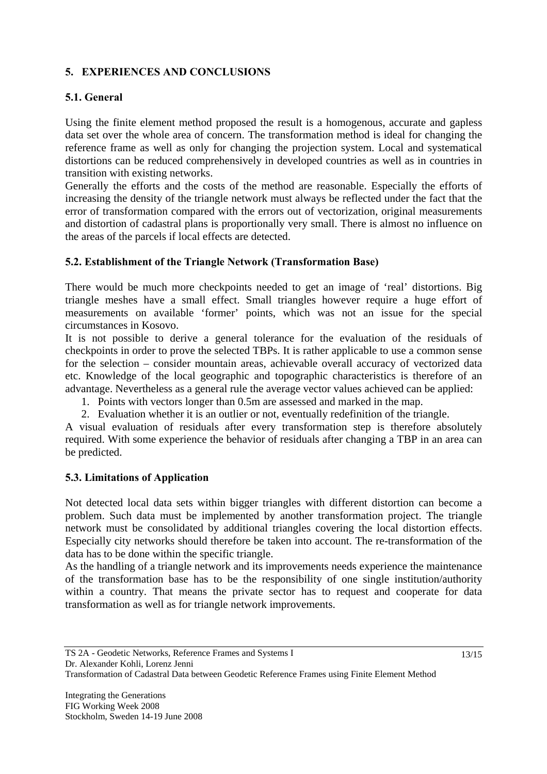# **5. EXPERIENCES AND CONCLUSIONS**

# **5.1. General**

Using the finite element method proposed the result is a homogenous, accurate and gapless data set over the whole area of concern. The transformation method is ideal for changing the reference frame as well as only for changing the projection system. Local and systematical distortions can be reduced comprehensively in developed countries as well as in countries in transition with existing networks.

Generally the efforts and the costs of the method are reasonable. Especially the efforts of increasing the density of the triangle network must always be reflected under the fact that the error of transformation compared with the errors out of vectorization, original measurements and distortion of cadastral plans is proportionally very small. There is almost no influence on the areas of the parcels if local effects are detected.

### **5.2. Establishment of the Triangle Network (Transformation Base)**

There would be much more checkpoints needed to get an image of 'real' distortions. Big triangle meshes have a small effect. Small triangles however require a huge effort of measurements on available 'former' points, which was not an issue for the special circumstances in Kosovo.

It is not possible to derive a general tolerance for the evaluation of the residuals of checkpoints in order to prove the selected TBPs. It is rather applicable to use a common sense for the selection – consider mountain areas, achievable overall accuracy of vectorized data etc. Knowledge of the local geographic and topographic characteristics is therefore of an advantage. Nevertheless as a general rule the average vector values achieved can be applied:

- 1. Points with vectors longer than 0.5m are assessed and marked in the map.
- 2. Evaluation whether it is an outlier or not, eventually redefinition of the triangle.

A visual evaluation of residuals after every transformation step is therefore absolutely required. With some experience the behavior of residuals after changing a TBP in an area can be predicted.

# **5.3. Limitations of Application**

Not detected local data sets within bigger triangles with different distortion can become a problem. Such data must be implemented by another transformation project. The triangle network must be consolidated by additional triangles covering the local distortion effects. Especially city networks should therefore be taken into account. The re-transformation of the data has to be done within the specific triangle.

As the handling of a triangle network and its improvements needs experience the maintenance of the transformation base has to be the responsibility of one single institution/authority within a country. That means the private sector has to request and cooperate for data transformation as well as for triangle network improvements.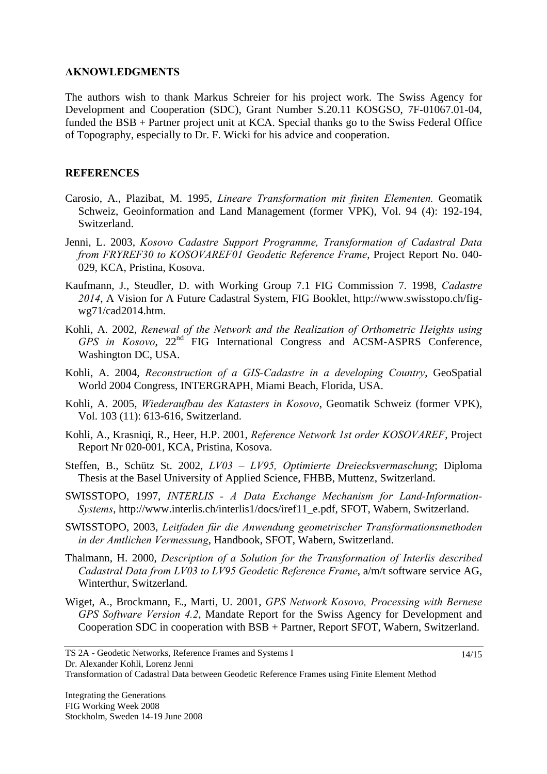#### **AKNOWLEDGMENTS**

The authors wish to thank Markus Schreier for his project work. The Swiss Agency for Development and Cooperation (SDC), Grant Number S.20.11 KOSGSO, 7F-01067.01-04, funded the BSB + Partner project unit at KCA. Special thanks go to the Swiss Federal Office of Topography, especially to Dr. F. Wicki for his advice and cooperation.

### **REFERENCES**

- Carosio, A., Plazibat, M. 1995, *Lineare Transformation mit finiten Elementen.* Geomatik Schweiz, Geoinformation and Land Management (former VPK), Vol. 94 (4): 192-194, Switzerland.
- Jenni, L. 2003, *Kosovo Cadastre Support Programme, Transformation of Cadastral Data from FRYREF30 to KOSOVAREF01 Geodetic Reference Frame*, Project Report No. 040- 029, KCA, Pristina, Kosova.
- Kaufmann, J., Steudler, D. with Working Group 7.1 FIG Commission 7. 1998, *Cadastre 2014*, A Vision for A Future Cadastral System, FIG Booklet, http://www.swisstopo.ch/figwg71/cad2014.htm.
- Kohli, A. 2002, *Renewal of the Network and the Realization of Orthometric Heights using GPS in Kosovo*, 22nd FIG International Congress and ACSM-ASPRS Conference, Washington DC, USA.
- Kohli, A. 2004, *Reconstruction of a GIS-Cadastre in a developing Country*, GeoSpatial World 2004 Congress, INTERGRAPH, Miami Beach, Florida, USA.
- Kohli, A. 2005, *Wiederaufbau des Katasters in Kosovo*, Geomatik Schweiz (former VPK), Vol. 103 (11): 613-616, Switzerland.
- Kohli, A., Krasniqi, R., Heer, H.P. 2001, *Reference Network 1st order KOSOVAREF*, Project Report Nr 020-001, KCA, Pristina, Kosova.
- Steffen, B., Schütz St. 2002, *LV03 LV95, Optimierte Dreiecksvermaschung*; Diploma Thesis at the Basel University of Applied Science, FHBB, Muttenz, Switzerland.
- SWISSTOPO, 1997, *INTERLIS A Data Exchange Mechanism for Land-Information-Systems*, http://www.interlis.ch/interlis1/docs/iref11\_e.pdf, SFOT, Wabern, Switzerland.
- SWISSTOPO, 2003, *Leitfaden für die Anwendung geometrischer Transformationsmethoden in der Amtlichen Vermessung*, Handbook, SFOT, Wabern, Switzerland.
- Thalmann, H. 2000, *Description of a Solution for the Transformation of Interlis described Cadastral Data from LV03 to LV95 Geodetic Reference Frame*, a/m/t software service AG, Winterthur, Switzerland.
- Wiget, A., Brockmann, E., Marti, U. 2001, *GPS Network Kosovo, Processing with Bernese GPS Software Version 4.2*, Mandate Report for the Swiss Agency for Development and Cooperation SDC in cooperation with BSB + Partner, Report SFOT, Wabern, Switzerland.